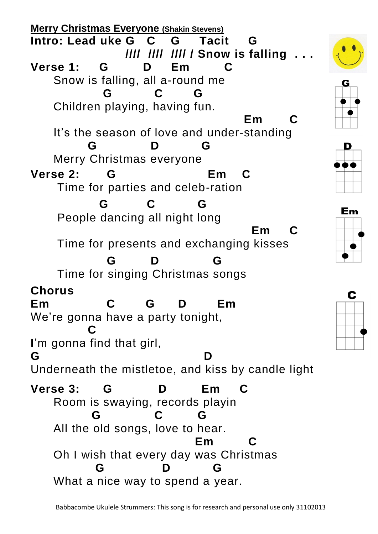**Merry Christmas Everyone (Shakin Stevens) Intro: Lead uke G C G Tacit G //// //// //// / Snow is falling . . . Verse 1: G D Em C**  Snow is falling, all a-round me  **G C G** Children playing, having fun. **Em C Em C** It's the season of love and under-standing  **G D G** Merry Christmas everyone **Verse 2: G Em C**  Time for parties and celeb-ration  **G C G** People dancing all night long **Em** C Time for presents and exchanging kisses  **G D G** Time for singing Christmas songs **Chorus Em C G D Em**  We're gonna have a party tonight, **C C I**'m gonna find that girl, **G D**  Underneath the mistletoe, and kiss by candle light **Verse 3: G D Em C**  Room is swaying, records playin **G C G** All the old songs, love to hear. **Em C**  Oh I wish that every day was Christmas  **G D G** What a nice way to spend a year.

Em

C